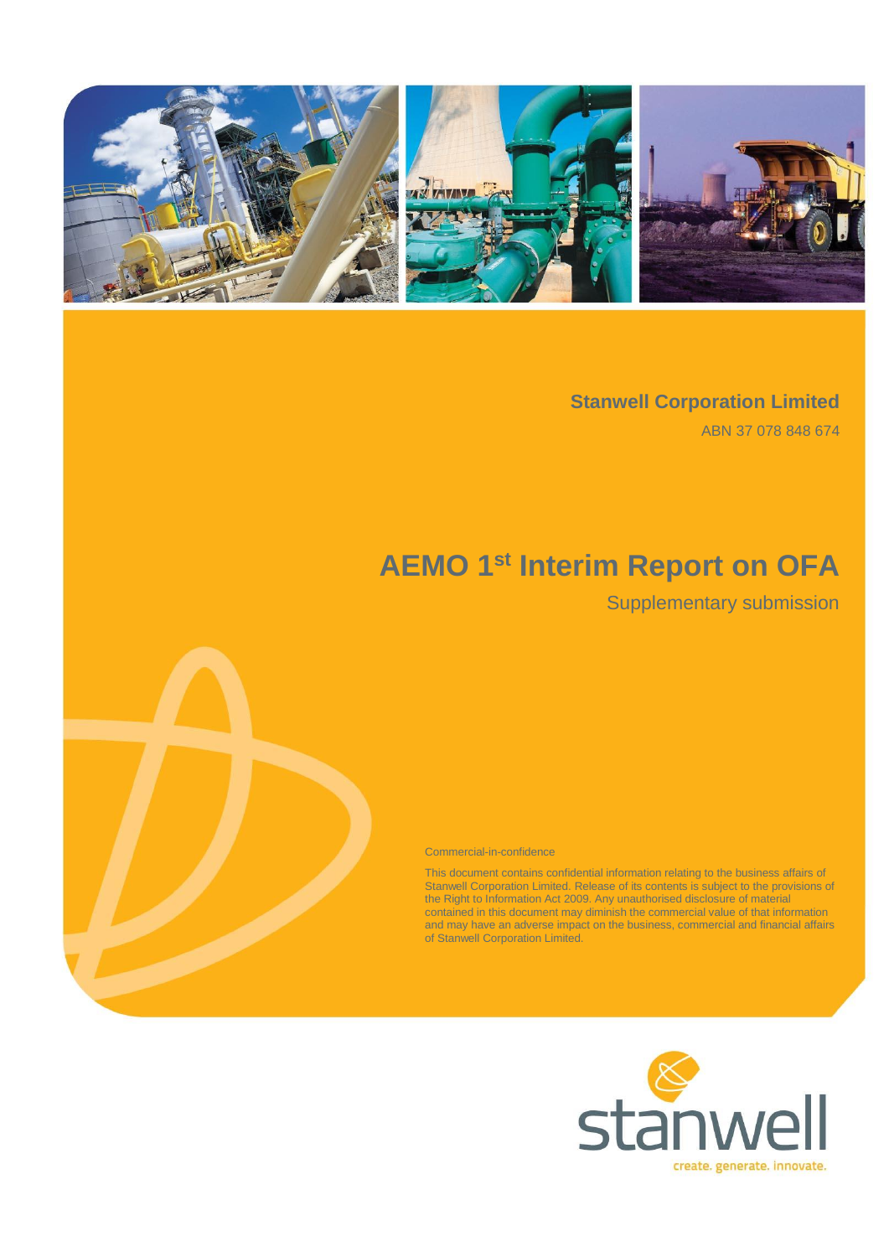

### **Stanwell Corporation Limited**

ABN 37 078 848 674

# **AEMO 1st Interim Report on OFA**

## Supplementary submission

Commercial-in-confidence

This document contains confidential information relating to the business affairs of Stanwell Corporation Limited. Release of its contents is subject to the provisions of the Right to Information Act 2009. Any unauthorised disclosure of material contained in this document may diminish the commercial value of that information and may have an adverse impact on the business, commercial and financial affairs of Stanwell Corporation Limited.

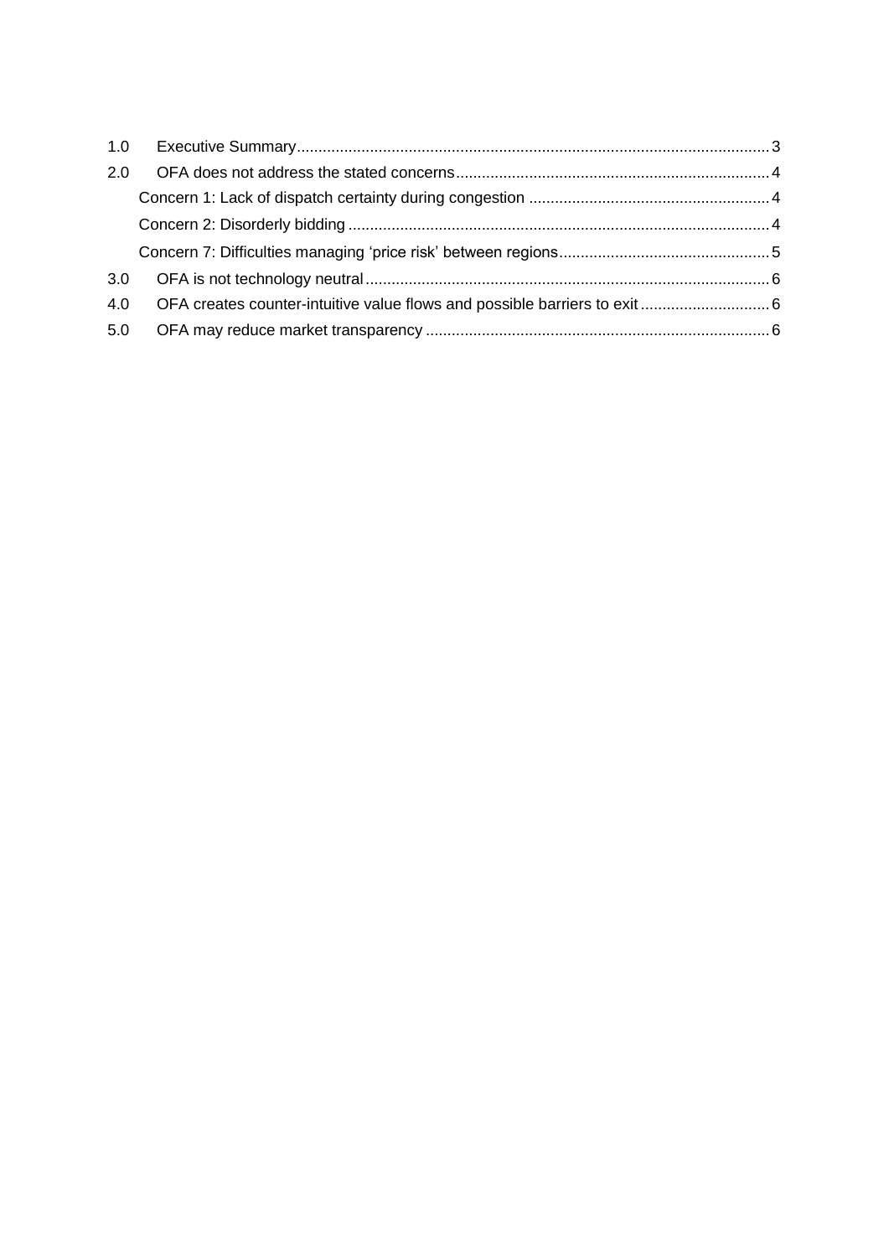| 1.0 |  |
|-----|--|
| 2.0 |  |
|     |  |
|     |  |
|     |  |
| 3.0 |  |
| 4.0 |  |
| 5.0 |  |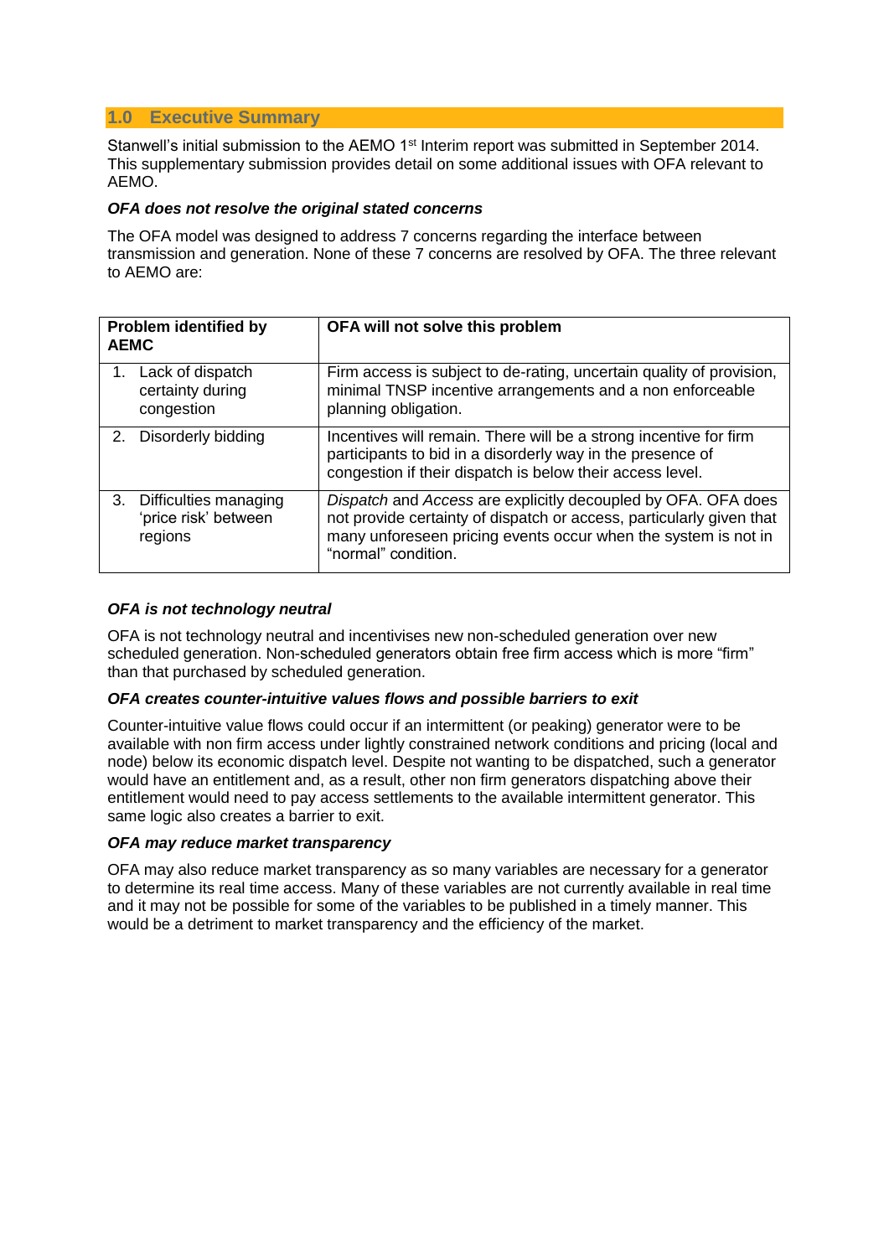#### <span id="page-2-0"></span>**1.0 Executive Summary**

Stanwell's initial submission to the AEMO 1<sup>st</sup> Interim report was submitted in September 2014. This supplementary submission provides detail on some additional issues with OFA relevant to AEMO.

#### *OFA does not resolve the original stated concerns*

The OFA model was designed to address 7 concerns regarding the interface between transmission and generation. None of these 7 concerns are resolved by OFA. The three relevant to AEMO are:

| <b>Problem identified by</b><br><b>AEMC</b> |                                                          | OFA will not solve this problem                                                                                                                                                                                                |
|---------------------------------------------|----------------------------------------------------------|--------------------------------------------------------------------------------------------------------------------------------------------------------------------------------------------------------------------------------|
| 1.                                          | Lack of dispatch<br>certainty during<br>congestion       | Firm access is subject to de-rating, uncertain quality of provision,<br>minimal TNSP incentive arrangements and a non enforceable<br>planning obligation.                                                                      |
| 2.                                          | Disorderly bidding                                       | Incentives will remain. There will be a strong incentive for firm<br>participants to bid in a disorderly way in the presence of<br>congestion if their dispatch is below their access level.                                   |
| 3.                                          | Difficulties managing<br>'price risk' between<br>regions | Dispatch and Access are explicitly decoupled by OFA. OFA does<br>not provide certainty of dispatch or access, particularly given that<br>many unforeseen pricing events occur when the system is not in<br>"normal" condition. |

#### *OFA is not technology neutral*

OFA is not technology neutral and incentivises new non-scheduled generation over new scheduled generation. Non-scheduled generators obtain free firm access which is more "firm" than that purchased by scheduled generation.

#### *OFA creates counter-intuitive values flows and possible barriers to exit*

Counter-intuitive value flows could occur if an intermittent (or peaking) generator were to be available with non firm access under lightly constrained network conditions and pricing (local and node) below its economic dispatch level. Despite not wanting to be dispatched, such a generator would have an entitlement and, as a result, other non firm generators dispatching above their entitlement would need to pay access settlements to the available intermittent generator. This same logic also creates a barrier to exit.

#### *OFA may reduce market transparency*

OFA may also reduce market transparency as so many variables are necessary for a generator to determine its real time access. Many of these variables are not currently available in real time and it may not be possible for some of the variables to be published in a timely manner. This would be a detriment to market transparency and the efficiency of the market.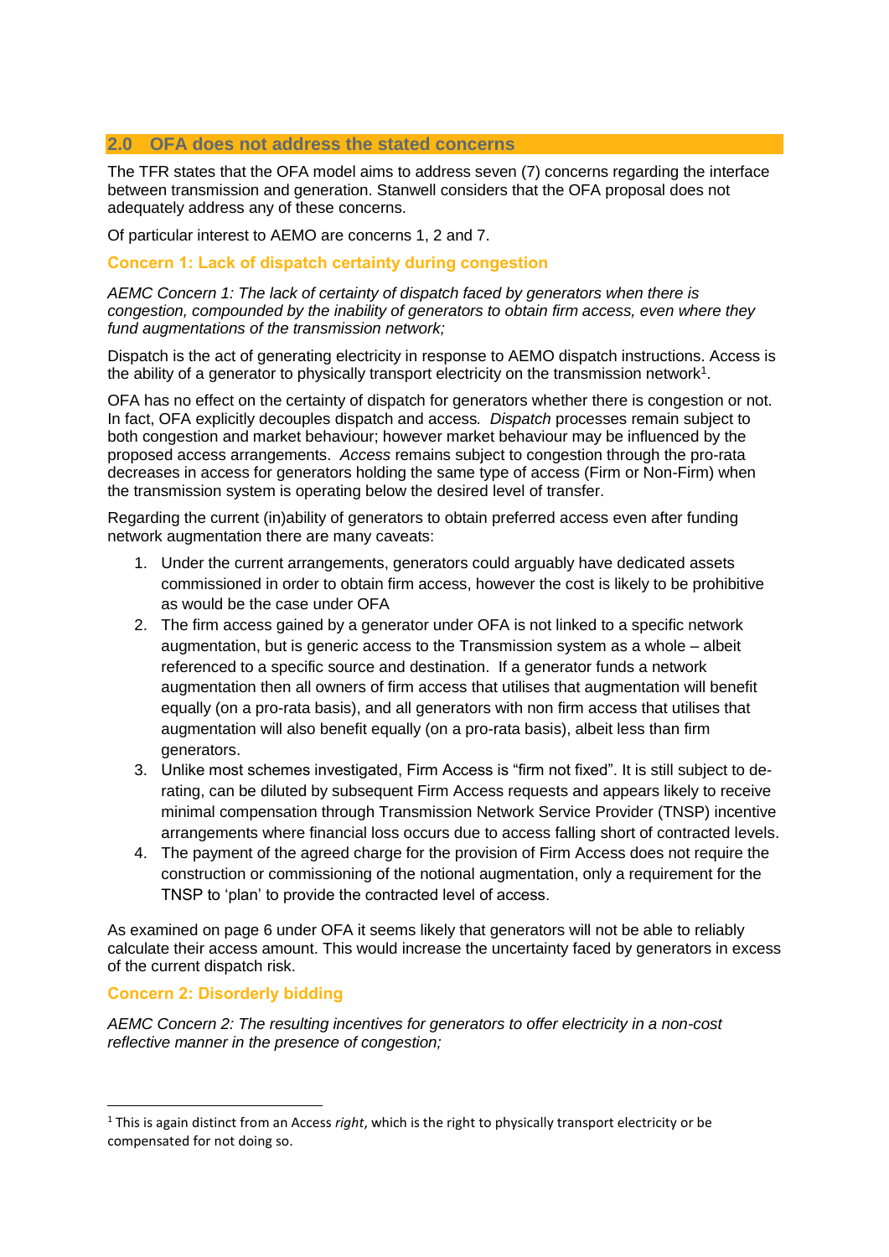#### <span id="page-3-0"></span>**2.0 OFA does not address the stated concerns**

The TFR states that the OFA model aims to address seven (7) concerns regarding the interface between transmission and generation. Stanwell considers that the OFA proposal does not adequately address any of these concerns.

Of particular interest to AEMO are concerns 1, 2 and 7.

#### <span id="page-3-1"></span>**Concern 1: Lack of dispatch certainty during congestion**

*AEMC Concern 1: The lack of certainty of dispatch faced by generators when there is congestion, compounded by the inability of generators to obtain firm access, even where they fund augmentations of the transmission network;* 

Dispatch is the act of generating electricity in response to AEMO dispatch instructions. Access is the ability of a generator to physically transport electricity on the transmission network<sup>1</sup>.

OFA has no effect on the certainty of dispatch for generators whether there is congestion or not. In fact, OFA explicitly decouples dispatch and access*. Dispatch* processes remain subject to both congestion and market behaviour; however market behaviour may be influenced by the proposed access arrangements. *Access* remains subject to congestion through the pro-rata decreases in access for generators holding the same type of access (Firm or Non-Firm) when the transmission system is operating below the desired level of transfer.

Regarding the current (in)ability of generators to obtain preferred access even after funding network augmentation there are many caveats:

- 1. Under the current arrangements, generators could arguably have dedicated assets commissioned in order to obtain firm access, however the cost is likely to be prohibitive as would be the case under OFA
- 2. The firm access gained by a generator under OFA is not linked to a specific network augmentation, but is generic access to the Transmission system as a whole – albeit referenced to a specific source and destination. If a generator funds a network augmentation then all owners of firm access that utilises that augmentation will benefit equally (on a pro-rata basis), and all generators with non firm access that utilises that augmentation will also benefit equally (on a pro-rata basis), albeit less than firm generators.
- 3. Unlike most schemes investigated, Firm Access is "firm not fixed". It is still subject to derating, can be diluted by subsequent Firm Access requests and appears likely to receive minimal compensation through Transmission Network Service Provider (TNSP) incentive arrangements where financial loss occurs due to access falling short of contracted levels.
- 4. The payment of the agreed charge for the provision of Firm Access does not require the construction or commissioning of the notional augmentation, only a requirement for the TNSP to 'plan' to provide the contracted level of access.

As examined on page [6](#page-5-2) under OFA it seems likely that generators will not be able to reliably calculate their access amount. This would increase the uncertainty faced by generators in excess of the current dispatch risk.

#### <span id="page-3-2"></span>**Concern 2: Disorderly bidding**

-

*AEMC Concern 2: The resulting incentives for generators to offer electricity in a non-cost reflective manner in the presence of congestion;* 

<sup>1</sup> This is again distinct from an Access *right*, which is the right to physically transport electricity or be compensated for not doing so.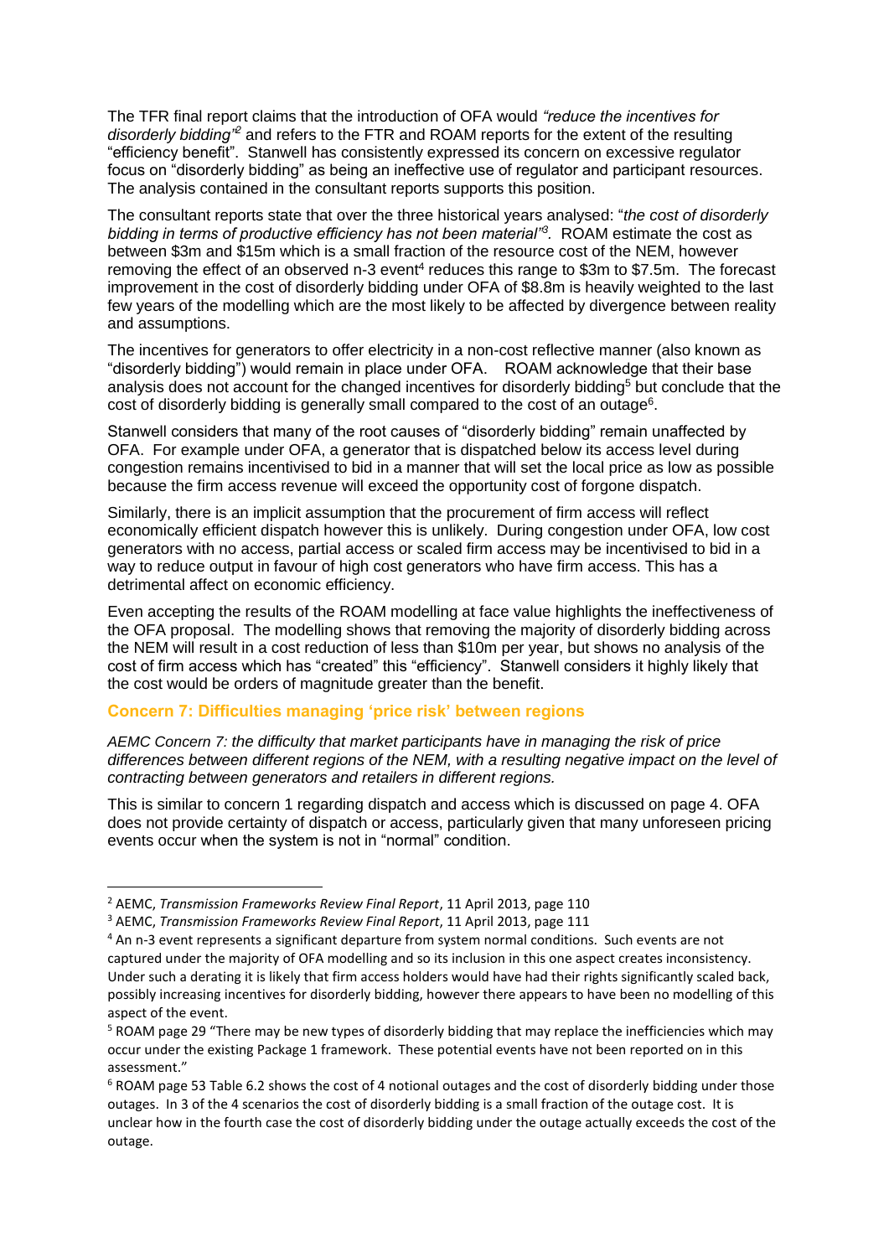The TFR final report claims that the introduction of OFA would *"reduce the incentives for disorderly bidding"<sup>2</sup>* and refers to the FTR and ROAM reports for the extent of the resulting "efficiency benefit". Stanwell has consistently expressed its concern on excessive regulator focus on "disorderly bidding" as being an ineffective use of regulator and participant resources. The analysis contained in the consultant reports supports this position.

The consultant reports state that over the three historical years analysed: "*the cost of disorderly bidding in terms of productive efficiency has not been material"<sup>3</sup> .* ROAM estimate the cost as between \$3m and \$15m which is a small fraction of the resource cost of the NEM, however removing the effect of an observed n-3 event<sup>4</sup> reduces this range to \$3m to \$7.5m. The forecast improvement in the cost of disorderly bidding under OFA of \$8.8m is heavily weighted to the last few years of the modelling which are the most likely to be affected by divergence between reality and assumptions.

The incentives for generators to offer electricity in a non-cost reflective manner (also known as "disorderly bidding") would remain in place under OFA. ROAM acknowledge that their base analysis does not account for the changed incentives for disorderly bidding<sup>5</sup> but conclude that the cost of disorderly bidding is generally small compared to the cost of an outage<sup>6</sup>.

Stanwell considers that many of the root causes of "disorderly bidding" remain unaffected by OFA. For example under OFA, a generator that is dispatched below its access level during congestion remains incentivised to bid in a manner that will set the local price as low as possible because the firm access revenue will exceed the opportunity cost of forgone dispatch.

Similarly, there is an implicit assumption that the procurement of firm access will reflect economically efficient dispatch however this is unlikely. During congestion under OFA, low cost generators with no access, partial access or scaled firm access may be incentivised to bid in a way to reduce output in favour of high cost generators who have firm access. This has a detrimental affect on economic efficiency.

Even accepting the results of the ROAM modelling at face value highlights the ineffectiveness of the OFA proposal. The modelling shows that removing the majority of disorderly bidding across the NEM will result in a cost reduction of less than \$10m per year, but shows no analysis of the cost of firm access which has "created" this "efficiency". Stanwell considers it highly likely that the cost would be orders of magnitude greater than the benefit.

#### <span id="page-4-0"></span>**Concern 7: Difficulties managing 'price risk' between regions**

*AEMC Concern 7: the difficulty that market participants have in managing the risk of price differences between different regions of the NEM, with a resulting negative impact on the level of contracting between generators and retailers in different regions.*

This is similar to concern 1 regarding dispatch and access which is discussed on page 4. OFA does not provide certainty of dispatch or access, particularly given that many unforeseen pricing events occur when the system is not in "normal" condition.

-

<sup>2</sup> AEMC, *Transmission Frameworks Review Final Report*, 11 April 2013, page 110

<sup>3</sup> AEMC, *Transmission Frameworks Review Final Report*, 11 April 2013, page 111

<sup>4</sup> An n-3 event represents a significant departure from system normal conditions. Such events are not captured under the majority of OFA modelling and so its inclusion in this one aspect creates inconsistency. Under such a derating it is likely that firm access holders would have had their rights significantly scaled back, possibly increasing incentives for disorderly bidding, however there appears to have been no modelling of this

aspect of the event.

<sup>5</sup> ROAM page 29 "There may be new types of disorderly bidding that may replace the inefficiencies which may occur under the existing Package 1 framework. These potential events have not been reported on in this assessment."

<sup>6</sup> ROAM page 53 Table 6.2 shows the cost of 4 notional outages and the cost of disorderly bidding under those outages. In 3 of the 4 scenarios the cost of disorderly bidding is a small fraction of the outage cost. It is unclear how in the fourth case the cost of disorderly bidding under the outage actually exceeds the cost of the outage.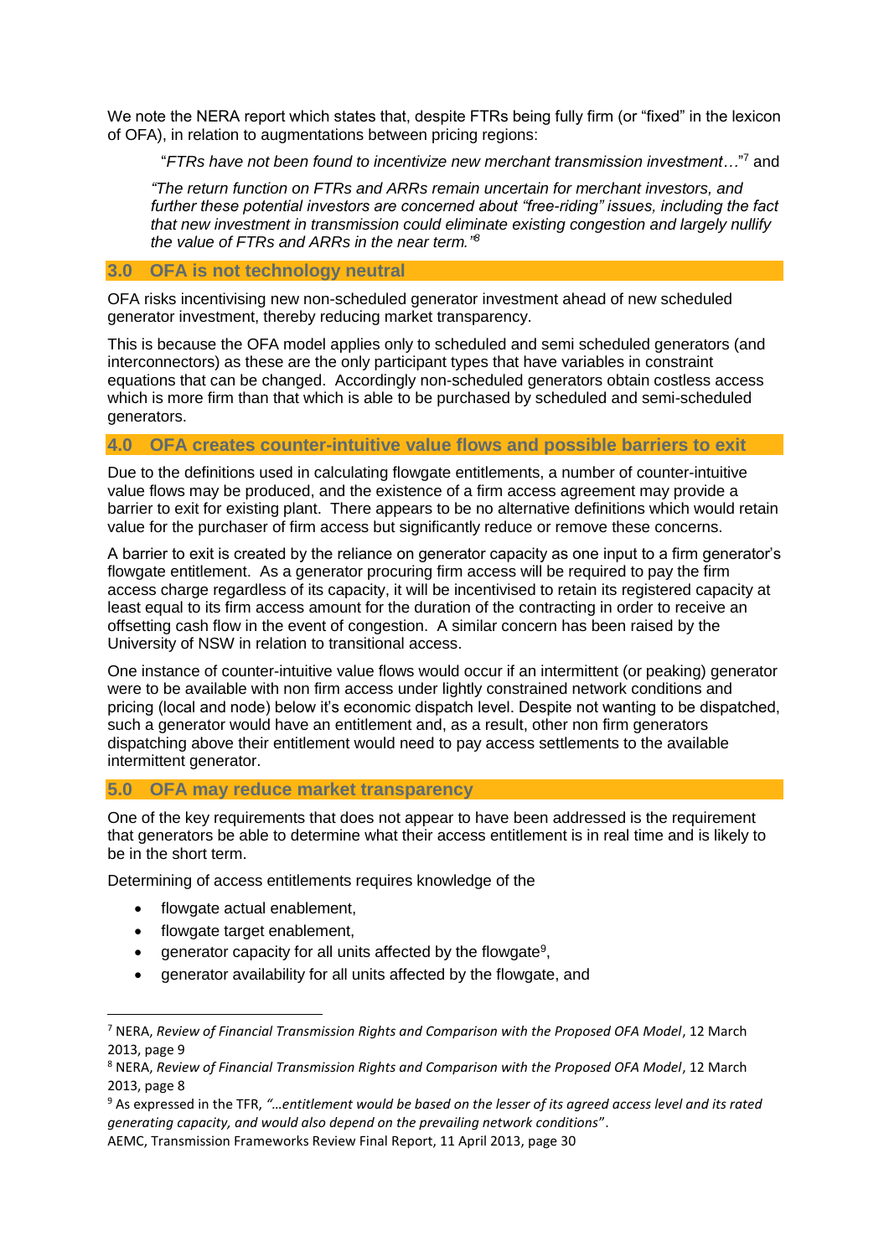We note the NERA report which states that, despite FTRs being fully firm (or "fixed" in the lexicon of OFA), in relation to augmentations between pricing regions:

"*FTRs have not been found to incentivize new merchant transmission investment…*" <sup>7</sup> and

*"The return function on FTRs and ARRs remain uncertain for merchant investors, and further these potential investors are concerned about "free-riding" issues, including the fact that new investment in transmission could eliminate existing congestion and largely nullify the value of FTRs and ARRs in the near term." 8*

#### <span id="page-5-0"></span>**3.0 OFA is not technology neutral**

OFA risks incentivising new non-scheduled generator investment ahead of new scheduled generator investment, thereby reducing market transparency.

This is because the OFA model applies only to scheduled and semi scheduled generators (and interconnectors) as these are the only participant types that have variables in constraint equations that can be changed. Accordingly non-scheduled generators obtain costless access which is more firm than that which is able to be purchased by scheduled and semi-scheduled generators.

#### <span id="page-5-1"></span>**4.0 OFA creates counter-intuitive value flows and possible barriers to exit**

Due to the definitions used in calculating flowgate entitlements, a number of counter-intuitive value flows may be produced, and the existence of a firm access agreement may provide a barrier to exit for existing plant. There appears to be no alternative definitions which would retain value for the purchaser of firm access but significantly reduce or remove these concerns.

A barrier to exit is created by the reliance on generator capacity as one input to a firm generator's flowgate entitlement. As a generator procuring firm access will be required to pay the firm access charge regardless of its capacity, it will be incentivised to retain its registered capacity at least equal to its firm access amount for the duration of the contracting in order to receive an offsetting cash flow in the event of congestion. A similar concern has been raised by the University of NSW in relation to transitional access.

One instance of counter-intuitive value flows would occur if an intermittent (or peaking) generator were to be available with non firm access under lightly constrained network conditions and pricing (local and node) below it's economic dispatch level. Despite not wanting to be dispatched, such a generator would have an entitlement and, as a result, other non firm generators dispatching above their entitlement would need to pay access settlements to the available intermittent generator.

#### <span id="page-5-2"></span>**5.0 OFA may reduce market transparency**

One of the key requirements that does not appear to have been addressed is the requirement that generators be able to determine what their access entitlement is in real time and is likely to be in the short term.

Determining of access entitlements requires knowledge of the

- flowgate actual enablement,
- flowgate target enablement,

-

- $\bullet$  generator capacity for all units affected by the flowgate<sup>9</sup>,
- generator availability for all units affected by the flowgate, and

<sup>7</sup> NERA, *Review of Financial Transmission Rights and Comparison with the Proposed OFA Model*, 12 March 2013, page 9

<sup>8</sup> NERA, *Review of Financial Transmission Rights and Comparison with the Proposed OFA Model*, 12 March 2013, page 8

<sup>9</sup> As expressed in the TFR, *"…entitlement would be based on the lesser of its agreed access level and its rated generating capacity, and would also depend on the prevailing network conditions*". AEMC, Transmission Frameworks Review Final Report, 11 April 2013, page 30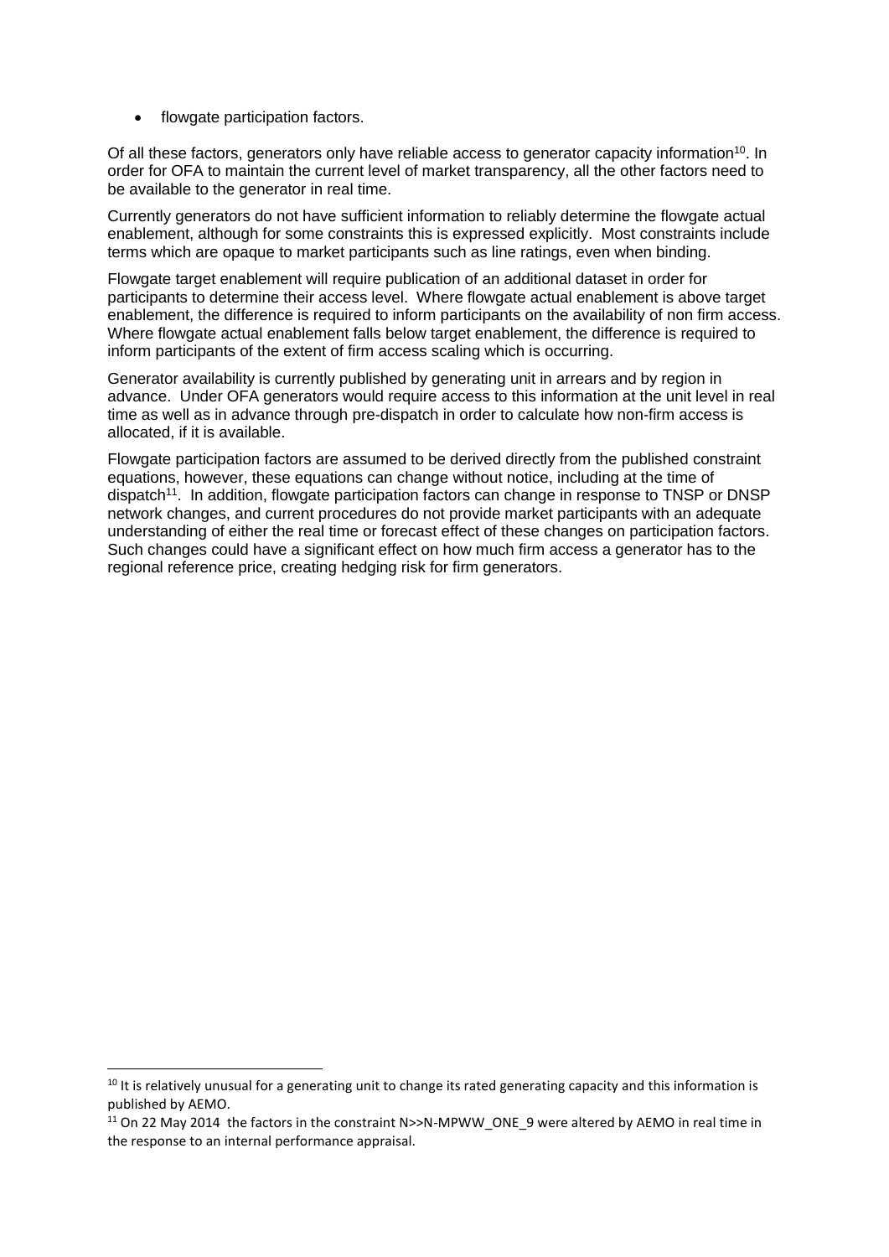• flowgate participation factors.

Of all these factors, generators only have reliable access to generator capacity information<sup>10</sup>. In order for OFA to maintain the current level of market transparency, all the other factors need to be available to the generator in real time.

Currently generators do not have sufficient information to reliably determine the flowgate actual enablement, although for some constraints this is expressed explicitly. Most constraints include terms which are opaque to market participants such as line ratings, even when binding.

Flowgate target enablement will require publication of an additional dataset in order for participants to determine their access level. Where flowgate actual enablement is above target enablement, the difference is required to inform participants on the availability of non firm access. Where flowgate actual enablement falls below target enablement, the difference is required to inform participants of the extent of firm access scaling which is occurring.

Generator availability is currently published by generating unit in arrears and by region in advance. Under OFA generators would require access to this information at the unit level in real time as well as in advance through pre-dispatch in order to calculate how non-firm access is allocated, if it is available.

Flowgate participation factors are assumed to be derived directly from the published constraint equations, however, these equations can change without notice, including at the time of dispatch<sup>11</sup>. In addition, flowgate participation factors can change in response to TNSP or DNSP network changes, and current procedures do not provide market participants with an adequate understanding of either the real time or forecast effect of these changes on participation factors. Such changes could have a significant effect on how much firm access a generator has to the regional reference price, creating hedging risk for firm generators.

1

<sup>&</sup>lt;sup>10</sup> It is relatively unusual for a generating unit to change its rated generating capacity and this information is published by AEMO.

<sup>&</sup>lt;sup>11</sup> On 22 May 2014 the factors in the constraint N>>N-MPWW\_ONE\_9 were altered by AEMO in real time in the response to an internal performance appraisal.